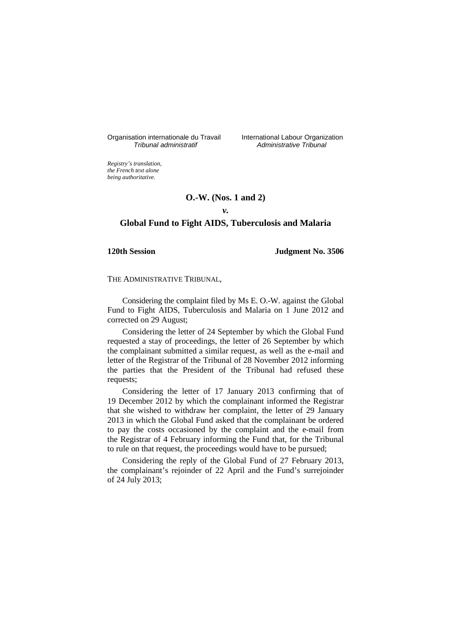Organisation internationale du Travail International Labour Organization<br>*Tribunal administratif* Administrative Tribunal

Administrative Tribunal

*Registry's translation, the French text alone being authoritative.*

# **O.-W. (Nos. 1 and 2)**

*v.* 

# **Global Fund to Fight AIDS, Tuberculosis and Malaria**

**120th Session Judgment No. 3506**

THE ADMINISTRATIVE TRIBUNAL,

Considering the complaint filed by Ms E. O.-W. against the Global Fund to Fight AIDS, Tuberculosis and Malaria on 1 June 2012 and corrected on 29 August;

Considering the letter of 24 September by which the Global Fund requested a stay of proceedings, the letter of 26 September by which the complainant submitted a similar request, as well as the e-mail and letter of the Registrar of the Tribunal of 28 November 2012 informing the parties that the President of the Tribunal had refused these requests;

Considering the letter of 17 January 2013 confirming that of 19 December 2012 by which the complainant informed the Registrar that she wished to withdraw her complaint, the letter of 29 January 2013 in which the Global Fund asked that the complainant be ordered to pay the costs occasioned by the complaint and the e-mail from the Registrar of 4 February informing the Fund that, for the Tribunal to rule on that request, the proceedings would have to be pursued;

Considering the reply of the Global Fund of 27 February 2013, the complainant's rejoinder of 22 April and the Fund's surrejoinder of 24 July 2013;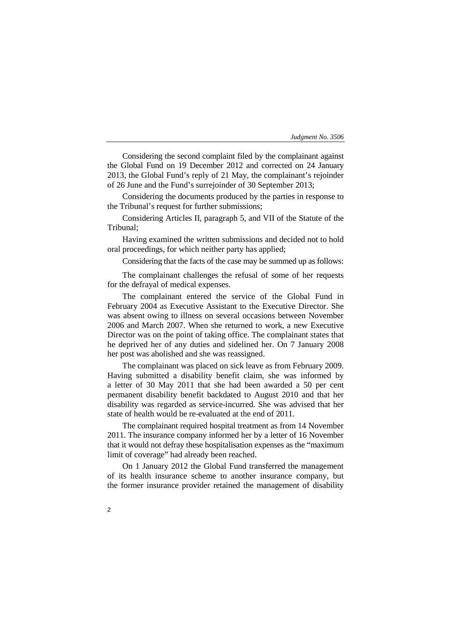Considering the second complaint filed by the complainant against the Global Fund on 19 December 2012 and corrected on 24 January 2013, the Global Fund's reply of 21 May, the complainant's rejoinder of 26 June and the Fund's surrejoinder of 30 September 2013;

Considering the documents produced by the parties in response to the Tribunal's request for further submissions;

Considering Articles II, paragraph 5, and VII of the Statute of the Tribunal;

Having examined the written submissions and decided not to hold oral proceedings, for which neither party has applied;

Considering that the facts of the case may be summed up as follows:

The complainant challenges the refusal of some of her requests for the defrayal of medical expenses.

The complainant entered the service of the Global Fund in February 2004 as Executive Assistant to the Executive Director. She was absent owing to illness on several occasions between November 2006 and March 2007. When she returned to work, a new Executive Director was on the point of taking office. The complainant states that he deprived her of any duties and sidelined her. On 7 January 2008 her post was abolished and she was reassigned.

The complainant was placed on sick leave as from February 2009. Having submitted a disability benefit claim, she was informed by a letter of 30 May 2011 that she had been awarded a 50 per cent permanent disability benefit backdated to August 2010 and that her disability was regarded as service-incurred. She was advised that her state of health would be re-evaluated at the end of 2011.

The complainant required hospital treatment as from 14 November 2011. The insurance company informed her by a letter of 16 November that it would not defray these hospitalisation expenses as the "maximum limit of coverage" had already been reached.

On 1 January 2012 the Global Fund transferred the management of its health insurance scheme to another insurance company, but the former insurance provider retained the management of disability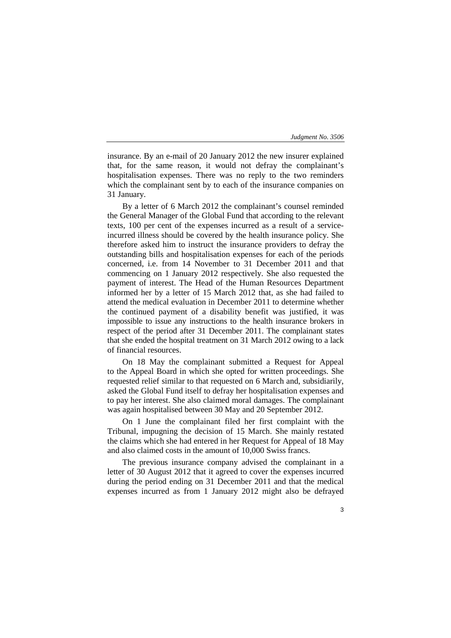insurance. By an e-mail of 20 January 2012 the new insurer explained that, for the same reason, it would not defray the complainant's hospitalisation expenses. There was no reply to the two reminders which the complainant sent by to each of the insurance companies on 31 January.

By a letter of 6 March 2012 the complainant's counsel reminded the General Manager of the Global Fund that according to the relevant texts, 100 per cent of the expenses incurred as a result of a serviceincurred illness should be covered by the health insurance policy. She therefore asked him to instruct the insurance providers to defray the outstanding bills and hospitalisation expenses for each of the periods concerned, i.e. from 14 November to 31 December 2011 and that commencing on 1 January 2012 respectively. She also requested the payment of interest. The Head of the Human Resources Department informed her by a letter of 15 March 2012 that, as she had failed to attend the medical evaluation in December 2011 to determine whether the continued payment of a disability benefit was justified, it was impossible to issue any instructions to the health insurance brokers in respect of the period after 31 December 2011. The complainant states that she ended the hospital treatment on 31 March 2012 owing to a lack of financial resources.

On 18 May the complainant submitted a Request for Appeal to the Appeal Board in which she opted for written proceedings. She requested relief similar to that requested on 6 March and, subsidiarily, asked the Global Fund itself to defray her hospitalisation expenses and to pay her interest. She also claimed moral damages. The complainant was again hospitalised between 30 May and 20 September 2012.

On 1 June the complainant filed her first complaint with the Tribunal, impugning the decision of 15 March. She mainly restated the claims which she had entered in her Request for Appeal of 18 May and also claimed costs in the amount of 10,000 Swiss francs.

The previous insurance company advised the complainant in a letter of 30 August 2012 that it agreed to cover the expenses incurred during the period ending on 31 December 2011 and that the medical expenses incurred as from 1 January 2012 might also be defrayed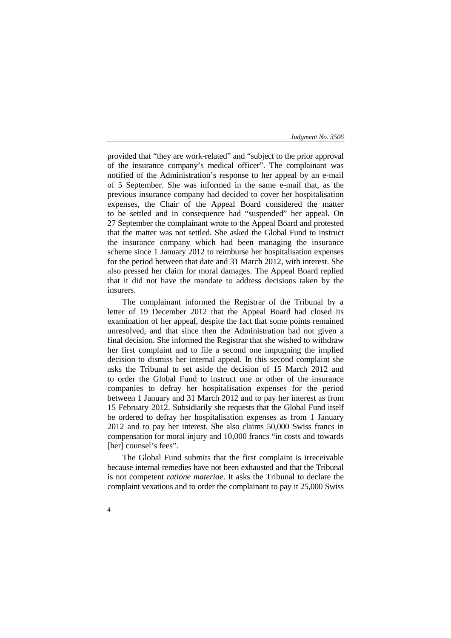provided that "they are work-related" and "subject to the prior approval of the insurance company's medical officer". The complainant was notified of the Administration's response to her appeal by an e-mail of 5 September. She was informed in the same e-mail that, as the previous insurance company had decided to cover her hospitalisation expenses, the Chair of the Appeal Board considered the matter to be settled and in consequence had "suspended" her appeal. On 27 September the complainant wrote to the Appeal Board and protested that the matter was not settled. She asked the Global Fund to instruct the insurance company which had been managing the insurance scheme since 1 January 2012 to reimburse her hospitalisation expenses for the period between that date and 31 March 2012, with interest. She also pressed her claim for moral damages. The Appeal Board replied that it did not have the mandate to address decisions taken by the insurers.

The complainant informed the Registrar of the Tribunal by a letter of 19 December 2012 that the Appeal Board had closed its examination of her appeal, despite the fact that some points remained unresolved, and that since then the Administration had not given a final decision. She informed the Registrar that she wished to withdraw her first complaint and to file a second one impugning the implied decision to dismiss her internal appeal. In this second complaint she asks the Tribunal to set aside the decision of 15 March 2012 and to order the Global Fund to instruct one or other of the insurance companies to defray her hospitalisation expenses for the period between 1 January and 31 March 2012 and to pay her interest as from 15 February 2012. Subsidiarily she requests that the Global Fund itself be ordered to defray her hospitalisation expenses as from 1 January 2012 and to pay her interest. She also claims 50,000 Swiss francs in compensation for moral injury and 10,000 francs "in costs and towards [her] counsel's fees".

The Global Fund submits that the first complaint is irreceivable because internal remedies have not been exhausted and that the Tribunal is not competent *ratione materiae*. It asks the Tribunal to declare the complaint vexatious and to order the complainant to pay it 25,000 Swiss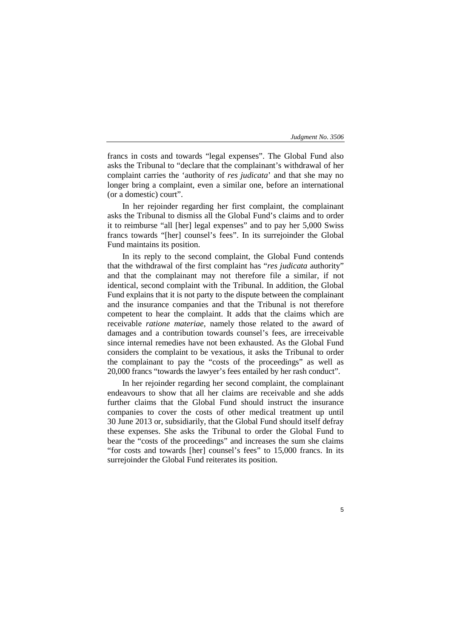5

francs in costs and towards "legal expenses". The Global Fund also asks the Tribunal to "declare that the complainant's withdrawal of her complaint carries the 'authority of *res judicata*' and that she may no longer bring a complaint, even a similar one, before an international (or a domestic) court".

In her rejoinder regarding her first complaint, the complainant asks the Tribunal to dismiss all the Global Fund's claims and to order it to reimburse "all [her] legal expenses" and to pay her 5,000 Swiss francs towards "[her] counsel's fees". In its surrejoinder the Global Fund maintains its position.

In its reply to the second complaint, the Global Fund contends that the withdrawal of the first complaint has "*res judicata* authority" and that the complainant may not therefore file a similar, if not identical, second complaint with the Tribunal. In addition, the Global Fund explains that it is not party to the dispute between the complainant and the insurance companies and that the Tribunal is not therefore competent to hear the complaint. It adds that the claims which are receivable *ratione materiae*, namely those related to the award of damages and a contribution towards counsel's fees, are irreceivable since internal remedies have not been exhausted. As the Global Fund considers the complaint to be vexatious, it asks the Tribunal to order the complainant to pay the "costs of the proceedings" as well as 20,000 francs "towards the lawyer's fees entailed by her rash conduct".

In her rejoinder regarding her second complaint, the complainant endeavours to show that all her claims are receivable and she adds further claims that the Global Fund should instruct the insurance companies to cover the costs of other medical treatment up until 30 June 2013 or, subsidiarily, that the Global Fund should itself defray these expenses. She asks the Tribunal to order the Global Fund to bear the "costs of the proceedings" and increases the sum she claims "for costs and towards [her] counsel's fees" to 15,000 francs. In its surrejoinder the Global Fund reiterates its position.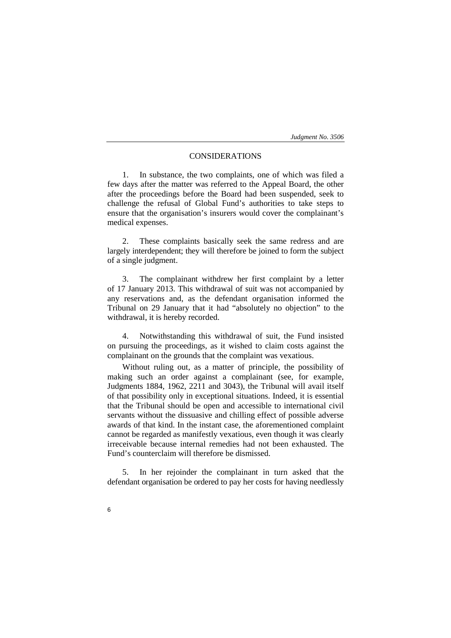# CONSIDERATIONS

1. In substance, the two complaints, one of which was filed a few days after the matter was referred to the Appeal Board, the other after the proceedings before the Board had been suspended, seek to challenge the refusal of Global Fund's authorities to take steps to ensure that the organisation's insurers would cover the complainant's medical expenses.

2. These complaints basically seek the same redress and are largely interdependent; they will therefore be joined to form the subject of a single judgment.

3. The complainant withdrew her first complaint by a letter of 17 January 2013. This withdrawal of suit was not accompanied by any reservations and, as the defendant organisation informed the Tribunal on 29 January that it had "absolutely no objection" to the withdrawal, it is hereby recorded.

4. Notwithstanding this withdrawal of suit, the Fund insisted on pursuing the proceedings, as it wished to claim costs against the complainant on the grounds that the complaint was vexatious.

Without ruling out, as a matter of principle, the possibility of making such an order against a complainant (see, for example, Judgments 1884, 1962, 2211 and 3043), the Tribunal will avail itself of that possibility only in exceptional situations. Indeed, it is essential that the Tribunal should be open and accessible to international civil servants without the dissuasive and chilling effect of possible adverse awards of that kind. In the instant case, the aforementioned complaint cannot be regarded as manifestly vexatious, even though it was clearly irreceivable because internal remedies had not been exhausted. The Fund's counterclaim will therefore be dismissed.

5. In her rejoinder the complainant in turn asked that the defendant organisation be ordered to pay her costs for having needlessly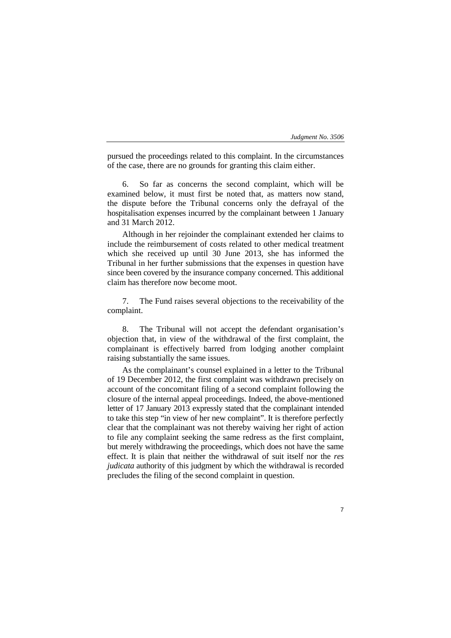pursued the proceedings related to this complaint. In the circumstances of the case, there are no grounds for granting this claim either.

So far as concerns the second complaint, which will be examined below, it must first be noted that, as matters now stand, the dispute before the Tribunal concerns only the defrayal of the hospitalisation expenses incurred by the complainant between 1 January and 31 March 2012.

Although in her rejoinder the complainant extended her claims to include the reimbursement of costs related to other medical treatment which she received up until 30 June 2013, she has informed the Tribunal in her further submissions that the expenses in question have since been covered by the insurance company concerned. This additional claim has therefore now become moot.

7. The Fund raises several objections to the receivability of the complaint.

8. The Tribunal will not accept the defendant organisation's objection that, in view of the withdrawal of the first complaint, the complainant is effectively barred from lodging another complaint raising substantially the same issues.

As the complainant's counsel explained in a letter to the Tribunal of 19 December 2012, the first complaint was withdrawn precisely on account of the concomitant filing of a second complaint following the closure of the internal appeal proceedings. Indeed, the above-mentioned letter of 17 January 2013 expressly stated that the complainant intended to take this step "in view of her new complaint". It is therefore perfectly clear that the complainant was not thereby waiving her right of action to file any complaint seeking the same redress as the first complaint, but merely withdrawing the proceedings, which does not have the same effect. It is plain that neither the withdrawal of suit itself nor the *res judicata* authority of this judgment by which the withdrawal is recorded precludes the filing of the second complaint in question.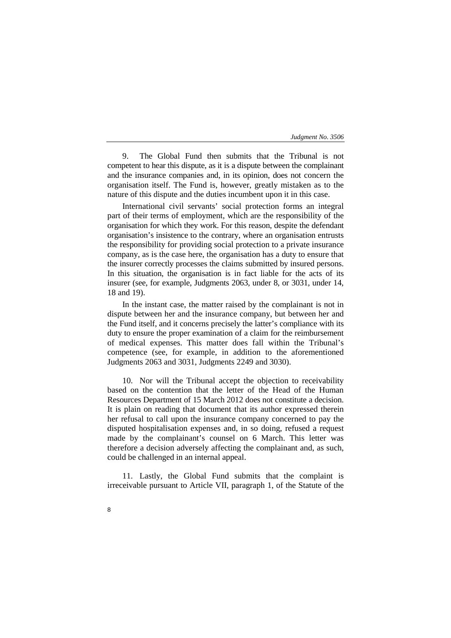9. The Global Fund then submits that the Tribunal is not competent to hear this dispute, as it is a dispute between the complainant and the insurance companies and, in its opinion, does not concern the organisation itself. The Fund is, however, greatly mistaken as to the nature of this dispute and the duties incumbent upon it in this case.

International civil servants' social protection forms an integral part of their terms of employment, which are the responsibility of the organisation for which they work. For this reason, despite the defendant organisation's insistence to the contrary, where an organisation entrusts the responsibility for providing social protection to a private insurance company, as is the case here, the organisation has a duty to ensure that the insurer correctly processes the claims submitted by insured persons. In this situation, the organisation is in fact liable for the acts of its insurer (see, for example, Judgments 2063, under 8, or 3031, under 14, 18 and 19).

In the instant case, the matter raised by the complainant is not in dispute between her and the insurance company, but between her and the Fund itself, and it concerns precisely the latter's compliance with its duty to ensure the proper examination of a claim for the reimbursement of medical expenses. This matter does fall within the Tribunal's competence (see, for example, in addition to the aforementioned Judgments 2063 and 3031, Judgments 2249 and 3030).

10. Nor will the Tribunal accept the objection to receivability based on the contention that the letter of the Head of the Human Resources Department of 15 March 2012 does not constitute a decision. It is plain on reading that document that its author expressed therein her refusal to call upon the insurance company concerned to pay the disputed hospitalisation expenses and, in so doing, refused a request made by the complainant's counsel on 6 March. This letter was therefore a decision adversely affecting the complainant and, as such, could be challenged in an internal appeal.

11. Lastly, the Global Fund submits that the complaint is irreceivable pursuant to Article VII, paragraph 1, of the Statute of the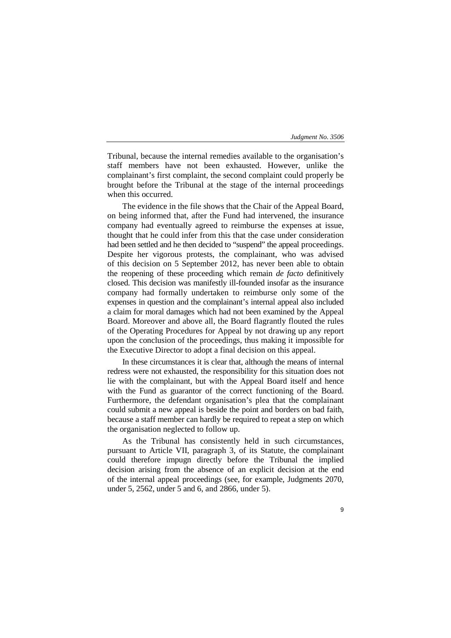Tribunal, because the internal remedies available to the organisation's staff members have not been exhausted. However, unlike the complainant's first complaint, the second complaint could properly be brought before the Tribunal at the stage of the internal proceedings when this occurred.

The evidence in the file shows that the Chair of the Appeal Board, on being informed that, after the Fund had intervened, the insurance company had eventually agreed to reimburse the expenses at issue, thought that he could infer from this that the case under consideration had been settled and he then decided to "suspend" the appeal proceedings. Despite her vigorous protests, the complainant, who was advised of this decision on 5 September 2012, has never been able to obtain the reopening of these proceeding which remain *de facto* definitively closed. This decision was manifestly ill-founded insofar as the insurance company had formally undertaken to reimburse only some of the expenses in question and the complainant's internal appeal also included a claim for moral damages which had not been examined by the Appeal Board. Moreover and above all, the Board flagrantly flouted the rules of the Operating Procedures for Appeal by not drawing up any report upon the conclusion of the proceedings, thus making it impossible for the Executive Director to adopt a final decision on this appeal.

In these circumstances it is clear that, although the means of internal redress were not exhausted, the responsibility for this situation does not lie with the complainant, but with the Appeal Board itself and hence with the Fund as guarantor of the correct functioning of the Board. Furthermore, the defendant organisation's plea that the complainant could submit a new appeal is beside the point and borders on bad faith, because a staff member can hardly be required to repeat a step on which the organisation neglected to follow up.

As the Tribunal has consistently held in such circumstances, pursuant to Article VII, paragraph 3, of its Statute, the complainant could therefore impugn directly before the Tribunal the implied decision arising from the absence of an explicit decision at the end of the internal appeal proceedings (see, for example, Judgments 2070, under 5, 2562, under 5 and 6, and 2866, under 5).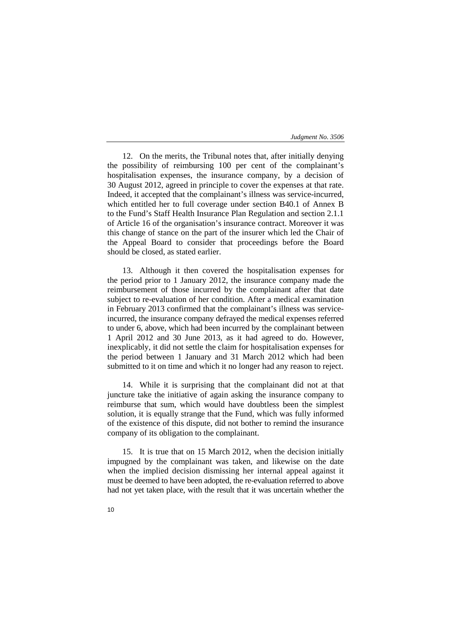12. On the merits, the Tribunal notes that, after initially denying the possibility of reimbursing 100 per cent of the complainant's hospitalisation expenses, the insurance company, by a decision of 30 August 2012, agreed in principle to cover the expenses at that rate. Indeed, it accepted that the complainant's illness was service-incurred, which entitled her to full coverage under section B40.1 of Annex B to the Fund's Staff Health Insurance Plan Regulation and section 2.1.1 of Article 16 of the organisation's insurance contract. Moreover it was this change of stance on the part of the insurer which led the Chair of the Appeal Board to consider that proceedings before the Board should be closed, as stated earlier.

13. Although it then covered the hospitalisation expenses for the period prior to 1 January 2012, the insurance company made the reimbursement of those incurred by the complainant after that date subject to re-evaluation of her condition. After a medical examination in February 2013 confirmed that the complainant's illness was serviceincurred, the insurance company defrayed the medical expenses referred to under 6, above, which had been incurred by the complainant between 1 April 2012 and 30 June 2013, as it had agreed to do. However, inexplicably, it did not settle the claim for hospitalisation expenses for the period between 1 January and 31 March 2012 which had been submitted to it on time and which it no longer had any reason to reject.

14. While it is surprising that the complainant did not at that juncture take the initiative of again asking the insurance company to reimburse that sum, which would have doubtless been the simplest solution, it is equally strange that the Fund, which was fully informed of the existence of this dispute, did not bother to remind the insurance company of its obligation to the complainant.

15. It is true that on 15 March 2012, when the decision initially impugned by the complainant was taken, and likewise on the date when the implied decision dismissing her internal appeal against it must be deemed to have been adopted, the re-evaluation referred to above had not yet taken place, with the result that it was uncertain whether the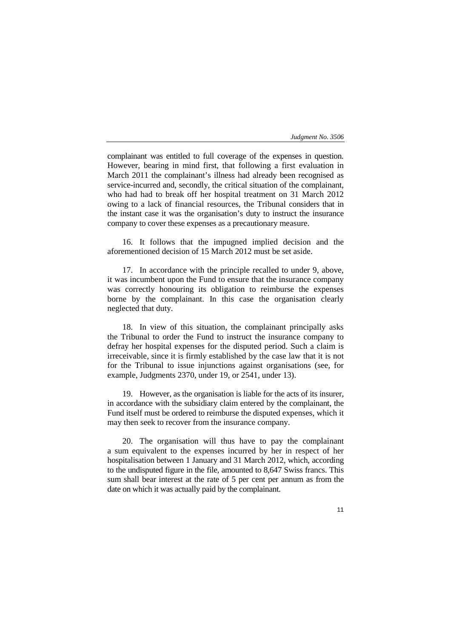complainant was entitled to full coverage of the expenses in question. However, bearing in mind first, that following a first evaluation in March 2011 the complainant's illness had already been recognised as service-incurred and, secondly, the critical situation of the complainant, who had had to break off her hospital treatment on 31 March 2012 owing to a lack of financial resources, the Tribunal considers that in the instant case it was the organisation's duty to instruct the insurance company to cover these expenses as a precautionary measure.

16. It follows that the impugned implied decision and the aforementioned decision of 15 March 2012 must be set aside.

17. In accordance with the principle recalled to under 9, above, it was incumbent upon the Fund to ensure that the insurance company was correctly honouring its obligation to reimburse the expenses borne by the complainant. In this case the organisation clearly neglected that duty.

18. In view of this situation, the complainant principally asks the Tribunal to order the Fund to instruct the insurance company to defray her hospital expenses for the disputed period. Such a claim is irreceivable, since it is firmly established by the case law that it is not for the Tribunal to issue injunctions against organisations (see, for example, Judgments 2370, under 19, or 2541, under 13).

19. However, as the organisation is liable for the acts of its insurer, in accordance with the subsidiary claim entered by the complainant, the Fund itself must be ordered to reimburse the disputed expenses, which it may then seek to recover from the insurance company.

20. The organisation will thus have to pay the complainant a sum equivalent to the expenses incurred by her in respect of her hospitalisation between 1 January and 31 March 2012, which, according to the undisputed figure in the file, amounted to 8,647 Swiss francs. This sum shall bear interest at the rate of 5 per cent per annum as from the date on which it was actually paid by the complainant.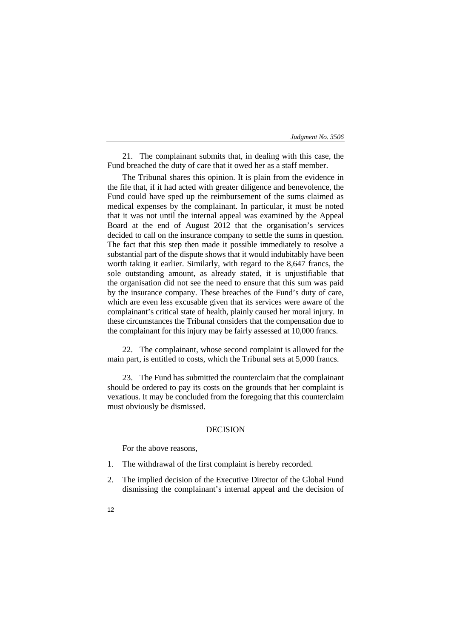| Judgment No. 3506 |  |  |
|-------------------|--|--|
|-------------------|--|--|

21. The complainant submits that, in dealing with this case, the Fund breached the duty of care that it owed her as a staff member.

The Tribunal shares this opinion. It is plain from the evidence in the file that, if it had acted with greater diligence and benevolence, the Fund could have sped up the reimbursement of the sums claimed as medical expenses by the complainant. In particular, it must be noted that it was not until the internal appeal was examined by the Appeal Board at the end of August 2012 that the organisation's services decided to call on the insurance company to settle the sums in question. The fact that this step then made it possible immediately to resolve a substantial part of the dispute shows that it would indubitably have been worth taking it earlier. Similarly, with regard to the 8,647 francs, the sole outstanding amount, as already stated, it is unjustifiable that the organisation did not see the need to ensure that this sum was paid by the insurance company. These breaches of the Fund's duty of care, which are even less excusable given that its services were aware of the complainant's critical state of health, plainly caused her moral injury. In these circumstances the Tribunal considers that the compensation due to the complainant for this injury may be fairly assessed at 10,000 francs.

22. The complainant, whose second complaint is allowed for the main part, is entitled to costs, which the Tribunal sets at 5,000 francs.

23. The Fund has submitted the counterclaim that the complainant should be ordered to pay its costs on the grounds that her complaint is vexatious. It may be concluded from the foregoing that this counterclaim must obviously be dismissed.

## DECISION

For the above reasons,

- 1. The withdrawal of the first complaint is hereby recorded.
- 2. The implied decision of the Executive Director of the Global Fund dismissing the complainant's internal appeal and the decision of
- 12